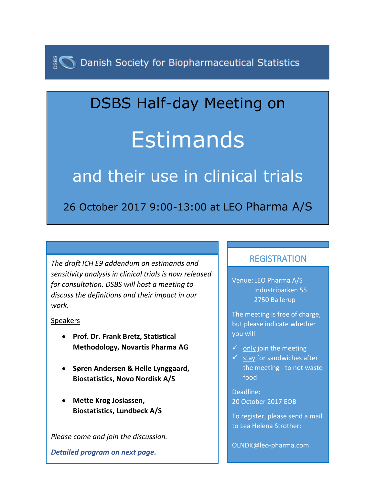Danish Society for Biopharmaceutical Statistics

## DSBS Half-day Meeting on Estimands

## and their use in clinical trials

26 October 2017 9:00-13:00 at LEO Pharma A/S

*The draft ICH E9 addendum on estimands and sensitivity analysis in clinical trials is now released for consultation. DSBS will host a meeting to discuss the definitions and their impact in our work.*

## **Speakers**

- **Prof. Dr. Frank Bretz, Statistical Methodology, Novartis Pharma AG**
- **Søren Andersen & Helle Lynggaard, Biostatistics, Novo Nordisk A/S**
- **Mette Krog Josiassen, Biostatistics, Lundbeck A/S**

*Please come and join the discussion.*

*Detailed program on next page.*

## **REGISTRATION**

Venue: LEO Pharma A/S Industriparken 55 2750 Ballerup

The meeting is free of charge, but please indicate whether you will

- $\checkmark$  only join the meeting
- $\checkmark$  stay for sandwiches after the meeting - to not waste food

Deadline: 20 October 2017 EOB

To register, please send a mail to Lea Helena Strother:

OLNDK@leo-pharma.com